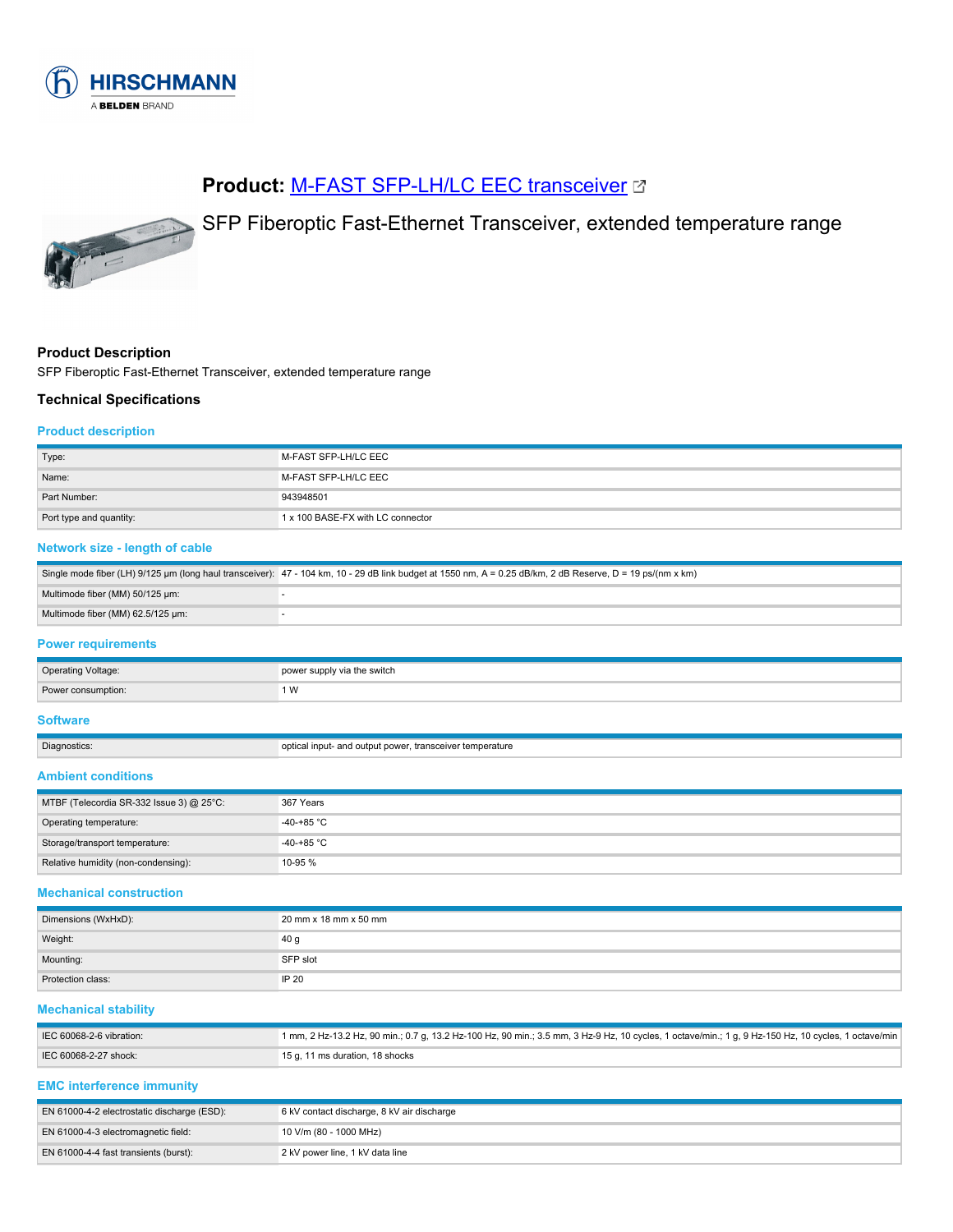

# **Product: [M-FAST SFP-LH/LC EEC transceiver](https://catalog.belden.com/index.cfm?event=pd&p=PF_943948501&tab=downloads) &**



SFP Fiberoptic Fast-Ethernet Transceiver, extended temperature range

#### **Product Description**

SFP Fiberoptic Fast-Ethernet Transceiver, extended temperature range

#### **Technical Specifications**

#### **Product description**

| Type:                                                                            | M-FAST SFP-LH/LC EEC                                                                                                                                       |  |
|----------------------------------------------------------------------------------|------------------------------------------------------------------------------------------------------------------------------------------------------------|--|
| Name:                                                                            | M-FAST SFP-LH/LC EEC                                                                                                                                       |  |
| Part Number:                                                                     | 943948501                                                                                                                                                  |  |
| Port type and quantity:                                                          | 1 x 100 BASE-FX with LC connector                                                                                                                          |  |
| Network size - length of cable                                                   |                                                                                                                                                            |  |
|                                                                                  | Single mode fiber (LH) 9/125 µm (long haul transceiver): 47 - 104 km, 10 - 29 dB link budget at 1550 nm, A = 0.25 dB/km, 2 dB Reserve, D = 19 ps/(nm x km) |  |
| Multimode fiber (MM) 50/125 µm:                                                  | ÷,                                                                                                                                                         |  |
| Multimode fiber (MM) 62.5/125 µm:                                                | ä,                                                                                                                                                         |  |
| <b>Power requirements</b>                                                        |                                                                                                                                                            |  |
| <b>Operating Voltage:</b>                                                        | power supply via the switch                                                                                                                                |  |
| Power consumption:                                                               | 1 W                                                                                                                                                        |  |
| <b>Software</b>                                                                  |                                                                                                                                                            |  |
|                                                                                  |                                                                                                                                                            |  |
| Diagnostics:                                                                     | optical input- and output power, transceiver temperature                                                                                                   |  |
|                                                                                  |                                                                                                                                                            |  |
| MTBF (Telecordia SR-332 Issue 3) @ 25°C:                                         | 367 Years                                                                                                                                                  |  |
| Operating temperature:                                                           | $-40-+85$ °C                                                                                                                                               |  |
| Storage/transport temperature:                                                   | $-40-+85$ °C                                                                                                                                               |  |
| Relative humidity (non-condensing):                                              | 10-95 %                                                                                                                                                    |  |
|                                                                                  |                                                                                                                                                            |  |
| Dimensions (WxHxD):                                                              | 20 mm x 18 mm x 50 mm                                                                                                                                      |  |
| Weight:                                                                          | 40 g                                                                                                                                                       |  |
| Mounting:                                                                        | SFP slot                                                                                                                                                   |  |
| <b>Ambient conditions</b><br><b>Mechanical construction</b><br>Protection class: | IP 20                                                                                                                                                      |  |

| IEC 60068-2-6 vibration: | 1 mm, 2 Hz-13.2 Hz, 90 min.; 0.7 g, 13.2 Hz-100 Hz, 90 min.; 3.5 mm, 3 Hz-9 Hz, 10 cycles, 1 octave/min.; 1 g, 9 Hz-150 Hz, 10 cycles, 1 octave/min |
|--------------------------|-----------------------------------------------------------------------------------------------------------------------------------------------------|
| IEC 60068-2-27 shock:    | l 15 g. 11 ms duration. 18 shocks                                                                                                                   |

### **EMC interference immunity**

| EN 61000-4-2 electrostatic discharge (ESD): | 6 kV contact discharge, 8 kV air discharge |
|---------------------------------------------|--------------------------------------------|
| EN 61000-4-3 electromagnetic field:         | 10 V/m (80 - 1000 MHz)                     |
| EN 61000-4-4 fast transients (burst):       | 2 kV power line, 1 kV data line            |